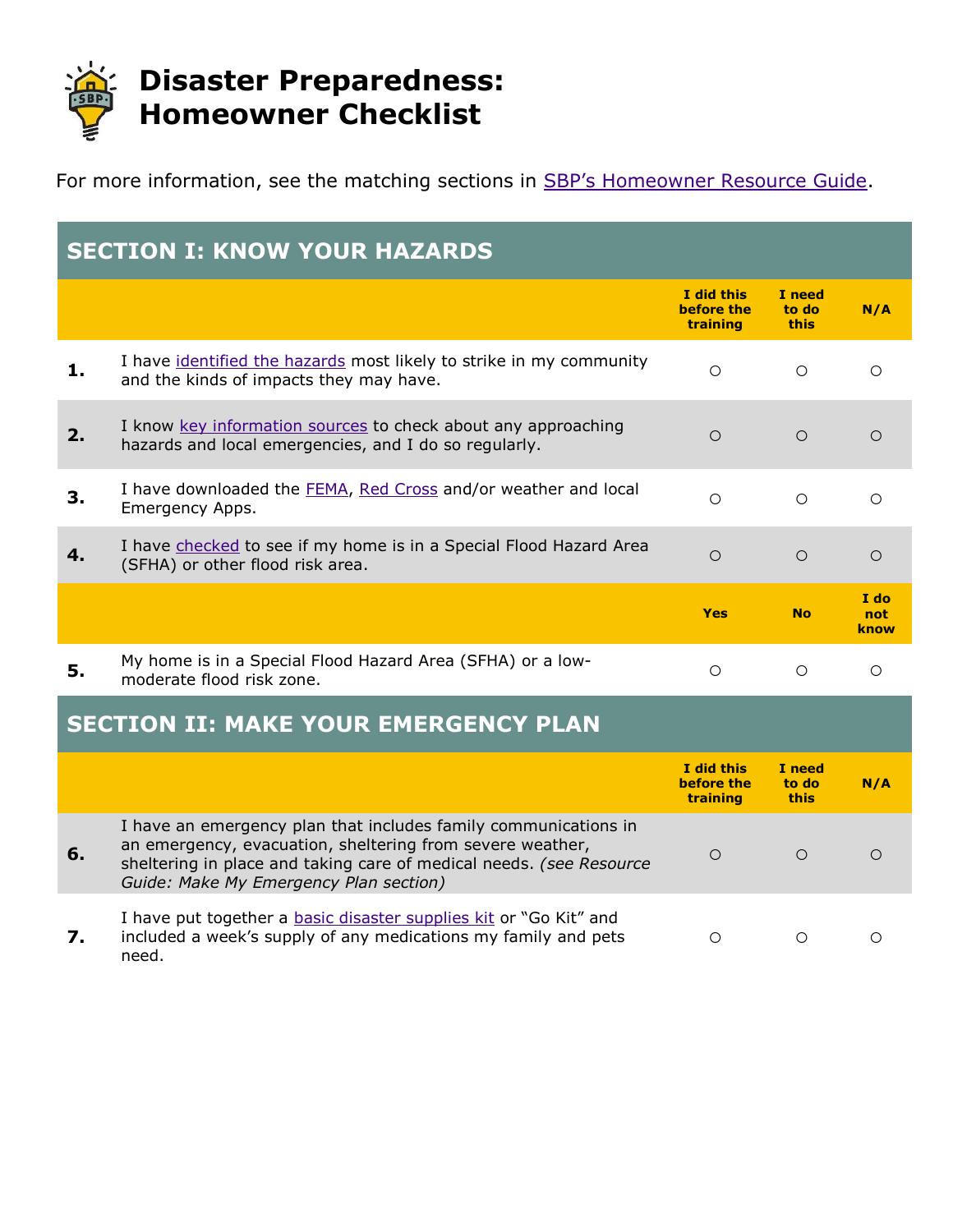

For more information, see the matching sections in **[SBP's Homeowner Resource Guide](http://www.stbernardproject.org/resources-for-home-owners.html)**.

| <b>SECTION I: KNOW YOUR HAZARDS</b> |                                                                                                                                                                                                                                               |                                      |                                |                     |
|-------------------------------------|-----------------------------------------------------------------------------------------------------------------------------------------------------------------------------------------------------------------------------------------------|--------------------------------------|--------------------------------|---------------------|
|                                     |                                                                                                                                                                                                                                               | I did this<br>before the<br>training | I need<br>to do<br><b>this</b> | N/A                 |
| 1.                                  | I have identified the hazards most likely to strike in my community<br>and the kinds of impacts they may have.                                                                                                                                | $\circ$                              | $\circ$                        | $\circ$             |
| 2.                                  | I know key information sources to check about any approaching<br>hazards and local emergencies, and I do so regularly.                                                                                                                        | $\bigcirc$                           | $\circ$                        | $\bigcirc$          |
| 3.                                  | I have downloaded the FEMA, Red Cross and/or weather and local<br>Emergency Apps.                                                                                                                                                             | $\circ$                              | $\circ$                        | $\circ$             |
| 4.                                  | I have checked to see if my home is in a Special Flood Hazard Area<br>(SFHA) or other flood risk area.                                                                                                                                        | $\circ$                              | $\circ$                        | $\circ$             |
|                                     |                                                                                                                                                                                                                                               |                                      |                                |                     |
|                                     |                                                                                                                                                                                                                                               | <b>Yes</b>                           | <b>No</b>                      | I do<br>not<br>know |
| 5.                                  | My home is in a Special Flood Hazard Area (SFHA) or a low-<br>moderate flood risk zone.                                                                                                                                                       | $\circ$                              | $\circ$                        | $\circ$             |
|                                     | <b>SECTION II: MAKE YOUR EMERGENCY PLAN</b>                                                                                                                                                                                                   |                                      |                                |                     |
|                                     |                                                                                                                                                                                                                                               | I did this<br>before the<br>training | I need<br>to do<br>this        | N/A                 |
| 6.                                  | I have an emergency plan that includes family communications in<br>an emergency, evacuation, sheltering from severe weather,<br>sheltering in place and taking care of medical needs. (see Resource<br>Guide: Make My Emergency Plan section) | $\circ$                              | $\circ$                        | $\circ$             |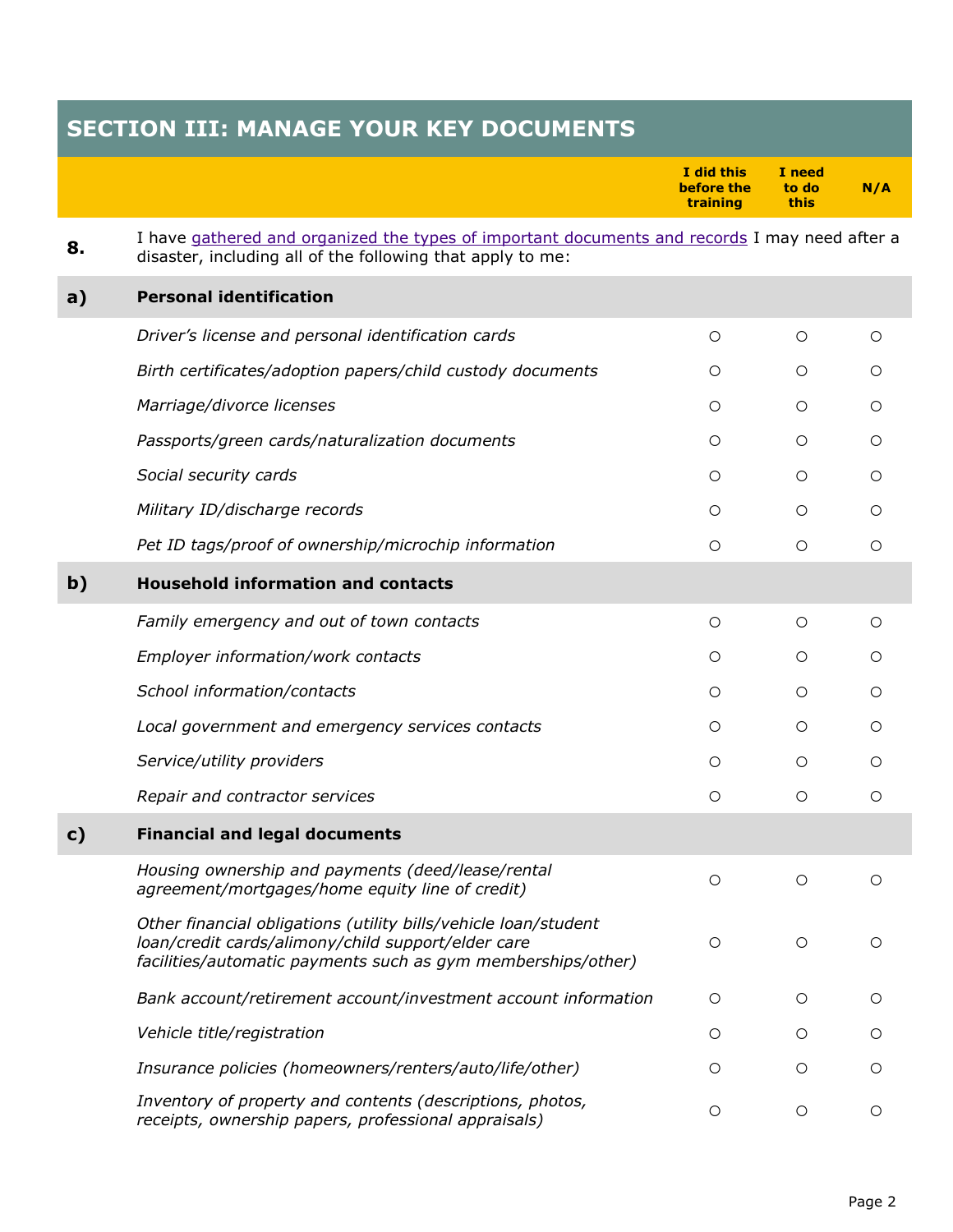## **SECTION III: MANAGE YOUR KEY DOCUMENTS**

|              |                                                                                                                                                                                       | I did this<br>before the<br>training | I need<br>to do<br>this | N/A |
|--------------|---------------------------------------------------------------------------------------------------------------------------------------------------------------------------------------|--------------------------------------|-------------------------|-----|
| 8.           | I have gathered and organized the types of important documents and records I may need after a<br>disaster, including all of the following that apply to me:                           |                                      |                         |     |
| a)           | <b>Personal identification</b>                                                                                                                                                        |                                      |                         |     |
|              | Driver's license and personal identification cards                                                                                                                                    | $\circ$                              | $\circ$                 | O   |
|              | Birth certificates/adoption papers/child custody documents                                                                                                                            | $\circ$                              | O                       | O   |
|              | Marriage/divorce licenses                                                                                                                                                             | $\circ$                              | $\circ$                 | O   |
|              | Passports/green cards/naturalization documents                                                                                                                                        | $\circ$                              | $\circ$                 | Ω   |
|              | Social security cards                                                                                                                                                                 | $\bigcirc$                           | $\circ$                 | O   |
|              | Military ID/discharge records                                                                                                                                                         | $\bigcirc$                           | O                       | О   |
|              | Pet ID tags/proof of ownership/microchip information                                                                                                                                  | $\bigcirc$                           | ∩                       | O   |
| $\mathbf{b}$ | <b>Household information and contacts</b>                                                                                                                                             |                                      |                         |     |
|              | Family emergency and out of town contacts                                                                                                                                             | $\circ$                              | O                       | O   |
|              | Employer information/work contacts                                                                                                                                                    | $\bigcirc$                           | O                       | О   |
|              | School information/contacts                                                                                                                                                           | O                                    | O                       | Ω   |
|              | Local government and emergency services contacts                                                                                                                                      | O                                    | O                       | О   |
|              | Service/utility providers                                                                                                                                                             | O                                    | O                       | Ο   |
|              | Repair and contractor services                                                                                                                                                        | $\circ$                              | O                       | О   |
| c)           | <b>Financial and legal documents</b>                                                                                                                                                  |                                      |                         |     |
|              | Housing ownership and payments (deed/lease/rental<br>agreement/mortgages/home equity line of credit)                                                                                  | O                                    | O                       | ∩   |
|              | Other financial obligations (utility bills/vehicle loan/student<br>loan/credit cards/alimony/child support/elder care<br>facilities/automatic payments such as gym memberships/other) | $\circ$                              | $\circ$                 | О   |
|              | Bank account/retirement account/investment account information                                                                                                                        | $\circ$                              | $\circ$                 | О   |
|              | Vehicle title/registration                                                                                                                                                            | $\circ$                              | $\circ$                 | O   |
|              | Insurance policies (homeowners/renters/auto/life/other)                                                                                                                               | $\circ$                              | $\circ$                 | O   |
|              | Inventory of property and contents (descriptions, photos,<br>receipts, ownership papers, professional appraisals)                                                                     | $\circ$                              | $\circ$                 | O   |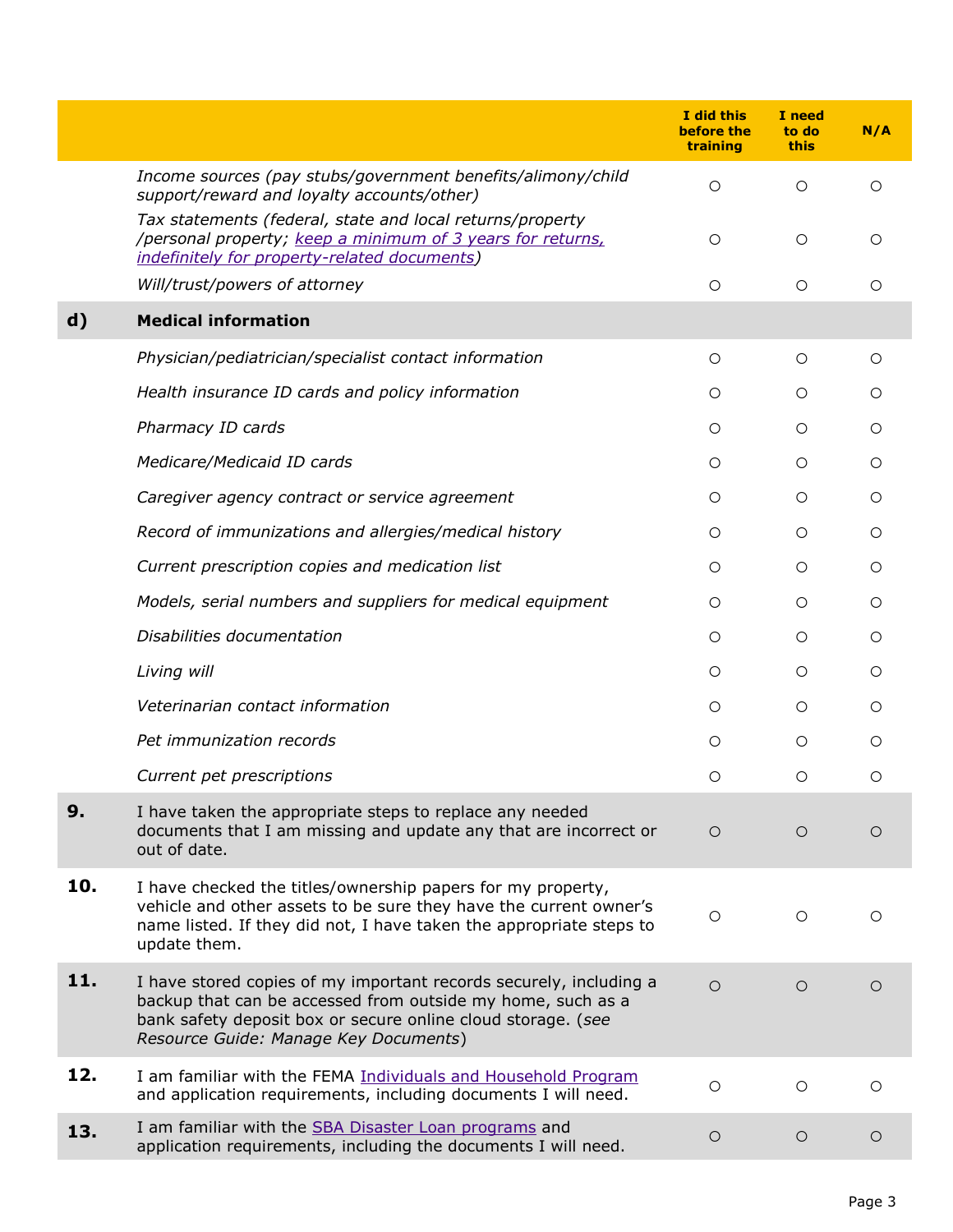|              |                                                                                                                                                                                                                                            | I did this<br>before the<br>training | I need<br>to do<br><b>this</b> | N/A        |
|--------------|--------------------------------------------------------------------------------------------------------------------------------------------------------------------------------------------------------------------------------------------|--------------------------------------|--------------------------------|------------|
|              | Income sources (pay stubs/government benefits/alimony/child<br>support/reward and loyalty accounts/other)                                                                                                                                  | $\circ$                              | $\circ$                        | $\circ$    |
|              | Tax statements (federal, state and local returns/property<br>/personal property; keep a minimum of 3 years for returns,<br>indefinitely for property-related documents)                                                                    | O                                    | $\circ$                        | O          |
|              | Will/trust/powers of attorney                                                                                                                                                                                                              | O                                    | $\circ$                        | O          |
| $\mathbf{d}$ | <b>Medical information</b>                                                                                                                                                                                                                 |                                      |                                |            |
|              | Physician/pediatrician/specialist contact information                                                                                                                                                                                      | $\circ$                              | $\circ$                        | O          |
|              | Health insurance ID cards and policy information                                                                                                                                                                                           | $\circ$                              | $\circ$                        | O          |
|              | Pharmacy ID cards                                                                                                                                                                                                                          | $\circ$                              | $\circ$                        | O          |
|              | Medicare/Medicaid ID cards                                                                                                                                                                                                                 | O                                    | O                              | O          |
|              | Caregiver agency contract or service agreement                                                                                                                                                                                             | O                                    | O                              | O          |
|              | Record of immunizations and allergies/medical history                                                                                                                                                                                      | O                                    | $\circ$                        | $\circ$    |
|              | Current prescription copies and medication list                                                                                                                                                                                            | O                                    | $\circ$                        | O          |
|              | Models, serial numbers and suppliers for medical equipment                                                                                                                                                                                 | O                                    | $\circ$                        | O          |
|              | Disabilities documentation                                                                                                                                                                                                                 | $\circ$                              | $\circ$                        | $\circ$    |
|              | Living will                                                                                                                                                                                                                                | $\circ$                              | $\circ$                        | $\bigcirc$ |
|              | Veterinarian contact information                                                                                                                                                                                                           | O                                    | O                              | O          |
|              | Pet immunization records                                                                                                                                                                                                                   | O                                    | O                              | ◯          |
|              | Current pet prescriptions                                                                                                                                                                                                                  | O                                    | $\circ$                        | $\circ$    |
| 9.           | I have taken the appropriate steps to replace any needed<br>documents that I am missing and update any that are incorrect or<br>out of date.                                                                                               | $\circ$                              | $\circ$                        | $\circ$    |
| 10.          | I have checked the titles/ownership papers for my property,<br>vehicle and other assets to be sure they have the current owner's<br>name listed. If they did not, I have taken the appropriate steps to<br>update them.                    | $\circ$                              | $\circ$                        | $\circ$    |
| 11.          | I have stored copies of my important records securely, including a<br>backup that can be accessed from outside my home, such as a<br>bank safety deposit box or secure online cloud storage. (see<br>Resource Guide: Manage Key Documents) | $\circ$                              | $\circ$                        | $\circ$    |
| 12.          | I am familiar with the FEMA Individuals and Household Program<br>and application requirements, including documents I will need.                                                                                                            | $\circ$                              | $\circ$                        | $\bigcirc$ |
| 13.          | I am familiar with the SBA Disaster Loan programs and<br>application requirements, including the documents I will need.                                                                                                                    | $\circ$                              | $\circ$                        | $\circ$    |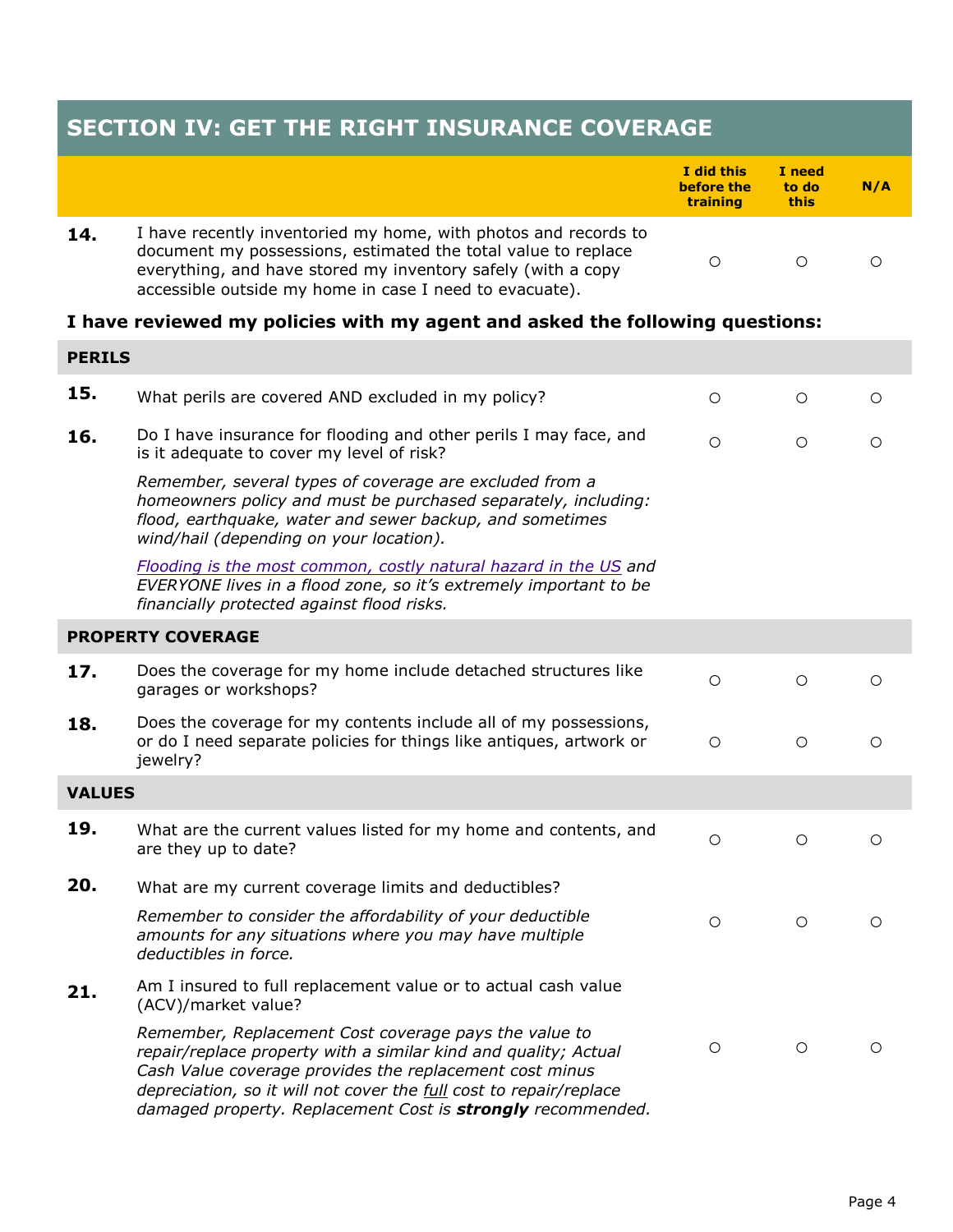| <b>SECTION IV: GET THE RIGHT INSURANCE COVERAGE</b> |                                                                                                                                                                                                                                                                                                                          |                                             |                         |         |  |
|-----------------------------------------------------|--------------------------------------------------------------------------------------------------------------------------------------------------------------------------------------------------------------------------------------------------------------------------------------------------------------------------|---------------------------------------------|-------------------------|---------|--|
|                                                     |                                                                                                                                                                                                                                                                                                                          | I did this<br>before the<br><b>training</b> | I need<br>to do<br>this | N/A     |  |
| 14.                                                 | I have recently inventoried my home, with photos and records to<br>document my possessions, estimated the total value to replace<br>everything, and have stored my inventory safely (with a copy<br>accessible outside my home in case I need to evacuate).                                                              | $\circ$                                     | $\circ$                 | O       |  |
|                                                     | I have reviewed my policies with my agent and asked the following questions:                                                                                                                                                                                                                                             |                                             |                         |         |  |
| <b>PERILS</b>                                       |                                                                                                                                                                                                                                                                                                                          |                                             |                         |         |  |
| 15.                                                 | What perils are covered AND excluded in my policy?                                                                                                                                                                                                                                                                       | O                                           | $\circ$                 | ◯       |  |
| 16.                                                 | Do I have insurance for flooding and other perils I may face, and<br>is it adequate to cover my level of risk?                                                                                                                                                                                                           | $\bigcirc$                                  | $\circ$                 | $\circ$ |  |
|                                                     | Remember, several types of coverage are excluded from a<br>homeowners policy and must be purchased separately, including:<br>flood, earthquake, water and sewer backup, and sometimes<br>wind/hail (depending on your location).                                                                                         |                                             |                         |         |  |
|                                                     | Flooding is the most common, costly natural hazard in the US and<br>EVERYONE lives in a flood zone, so it's extremely important to be<br>financially protected against flood risks.                                                                                                                                      |                                             |                         |         |  |
|                                                     | <b>PROPERTY COVERAGE</b>                                                                                                                                                                                                                                                                                                 |                                             |                         |         |  |
| 17.                                                 | Does the coverage for my home include detached structures like<br>garages or workshops?                                                                                                                                                                                                                                  | $\circ$                                     | $\circ$                 | O       |  |
| 18.                                                 | Does the coverage for my contents include all of my possessions,<br>or do I need separate policies for things like antiques, artwork or<br>jewelry?                                                                                                                                                                      | $\circ$                                     | $\circ$                 | $\circ$ |  |
| <b>VALUES</b>                                       |                                                                                                                                                                                                                                                                                                                          |                                             |                         |         |  |
| 19.                                                 | What are the current values listed for my home and contents, and<br>are they up to date?                                                                                                                                                                                                                                 | O                                           | $\circ$                 | О       |  |
| 20.                                                 | What are my current coverage limits and deductibles?                                                                                                                                                                                                                                                                     |                                             |                         |         |  |
|                                                     | Remember to consider the affordability of your deductible<br>amounts for any situations where you may have multiple<br>deductibles in force.                                                                                                                                                                             | $\circ$                                     | $\circ$                 | $\circ$ |  |
| 21.                                                 | Am I insured to full replacement value or to actual cash value<br>(ACV)/market value?                                                                                                                                                                                                                                    |                                             |                         |         |  |
|                                                     | Remember, Replacement Cost coverage pays the value to<br>repair/replace property with a similar kind and quality; Actual<br>Cash Value coverage provides the replacement cost minus<br>depreciation, so it will not cover the full cost to repair/replace<br>damaged property. Replacement Cost is strongly recommended. | $\circ$                                     | $\circ$                 | O       |  |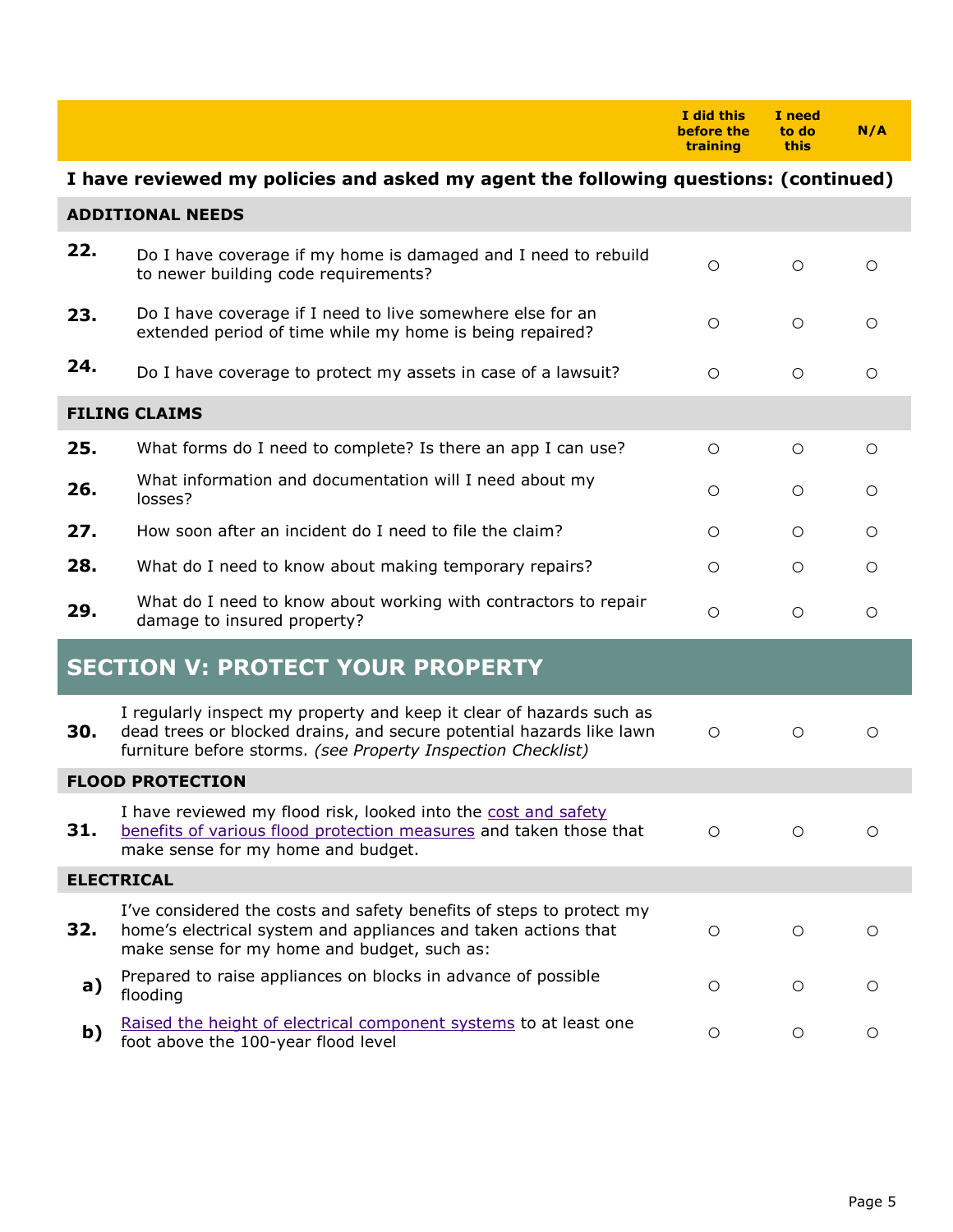|                                         |                                                                                                                                                                                                              | I did this<br>before the<br>training | I need<br>to do<br>this | N/A        |  |
|-----------------------------------------|--------------------------------------------------------------------------------------------------------------------------------------------------------------------------------------------------------------|--------------------------------------|-------------------------|------------|--|
|                                         | I have reviewed my policies and asked my agent the following questions: (continued)                                                                                                                          |                                      |                         |            |  |
|                                         | <b>ADDITIONAL NEEDS</b>                                                                                                                                                                                      |                                      |                         |            |  |
| 22.                                     | Do I have coverage if my home is damaged and I need to rebuild<br>to newer building code requirements?                                                                                                       | $\circ$                              | $\circ$                 | Ω          |  |
| 23.                                     | Do I have coverage if I need to live somewhere else for an<br>extended period of time while my home is being repaired?                                                                                       | Ο                                    | $\circ$                 | O          |  |
| 24.                                     | Do I have coverage to protect my assets in case of a lawsuit?                                                                                                                                                | $\circ$                              | $\circ$                 | Ω          |  |
|                                         | <b>FILING CLAIMS</b>                                                                                                                                                                                         |                                      |                         |            |  |
| 25.                                     | What forms do I need to complete? Is there an app I can use?                                                                                                                                                 | $\circ$                              | $\circ$                 | O          |  |
| 26.                                     | What information and documentation will I need about my<br>losses?                                                                                                                                           | О                                    | $\circ$                 | $\circ$    |  |
| 27.                                     | How soon after an incident do I need to file the claim?                                                                                                                                                      | O                                    | O                       | O          |  |
| 28.                                     | What do I need to know about making temporary repairs?                                                                                                                                                       | $\circ$                              | $\circ$                 | О          |  |
| 29.                                     | What do I need to know about working with contractors to repair<br>damage to insured property?                                                                                                               | $\circ$                              | $\circ$                 | $\bigcirc$ |  |
| <b>SECTION V: PROTECT YOUR PROPERTY</b> |                                                                                                                                                                                                              |                                      |                         |            |  |
| 30.                                     | I regularly inspect my property and keep it clear of hazards such as<br>dead trees or blocked drains, and secure potential hazards like lawn<br>furniture before storms. (see Property Inspection Checklist) | $\circ$                              | $\circ$                 | O          |  |
| <b>FLOOD PROTECTION</b>                 |                                                                                                                                                                                                              |                                      |                         |            |  |
| 31.                                     | I have reviewed my flood risk, looked into the cost and safety<br>benefits of various flood protection measures and taken those that<br>make sense for my home and budget.                                   | O                                    | O                       | O          |  |
| <b>ELECTRICAL</b>                       |                                                                                                                                                                                                              |                                      |                         |            |  |
| 32.                                     | I've considered the costs and safety benefits of steps to protect my<br>home's electrical system and appliances and taken actions that<br>make sense for my home and budget, such as:                        | $\circ$                              | $\circ$                 | O          |  |
| a)                                      | Prepared to raise appliances on blocks in advance of possible<br>flooding                                                                                                                                    | O                                    | $\circ$                 | O          |  |
| b)                                      | Raised the height of electrical component systems to at least one<br>foot above the 100-year flood level                                                                                                     | Ο                                    | $\circ$                 | $\circ$    |  |